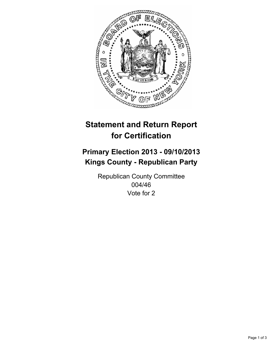

# **Statement and Return Report for Certification**

# **Primary Election 2013 - 09/10/2013 Kings County - Republican Party**

Republican County Committee 004/46 Vote for 2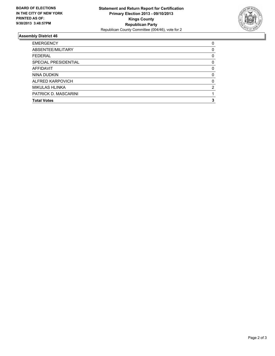

## **Assembly District 46**

| ABSENTEE/MILITARY<br><b>FEDERAL</b><br><b>SPECIAL PRESIDENTIAL</b><br><b>AFFIDAVIT</b><br>NINA DUDKIN<br>ALFRED KARPOVICH<br><b>MIKULAS HLINKA</b><br>PATRICK D. MASCARINI<br><b>Total Votes</b> | <b>EMERGENCY</b> | 0        |
|--------------------------------------------------------------------------------------------------------------------------------------------------------------------------------------------------|------------------|----------|
|                                                                                                                                                                                                  |                  | 0        |
|                                                                                                                                                                                                  |                  | 0        |
|                                                                                                                                                                                                  |                  | 0        |
|                                                                                                                                                                                                  |                  | $\Omega$ |
|                                                                                                                                                                                                  |                  | 0        |
|                                                                                                                                                                                                  |                  | $\Omega$ |
|                                                                                                                                                                                                  |                  | 2        |
|                                                                                                                                                                                                  |                  |          |
|                                                                                                                                                                                                  |                  | 3        |